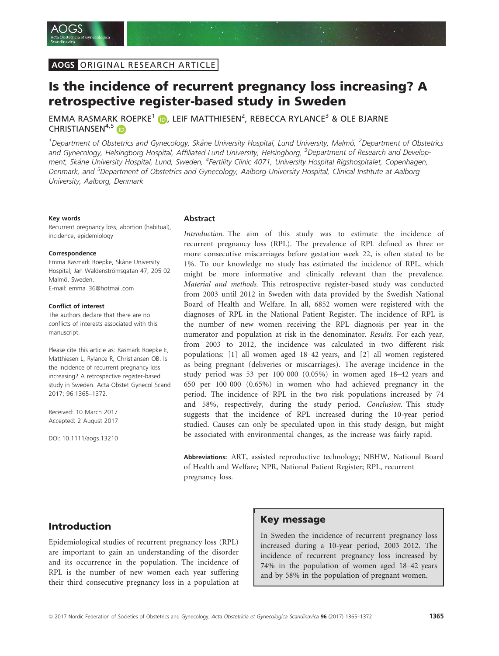# Is the incidence of recurrent pregnancy loss increasing? A retrospective register-based study in Sweden

EMMA RASMARK ROEPKE<sup>[1](http://orcid.org/0000-0003-1863-5306)</sup> D, LEIF MATTHIESEN<sup>2</sup>, REBECCA RYLANCE<sup>3</sup> & OLE BJARNE CHRISTIANSEN<sup>4,[5](http://orcid.org/0000-0002-5000-8516)</sup>

<sup>1</sup>Department of Obstetrics and Gynecology, Skåne University Hospital, Lund University, Malmö, <sup>2</sup>Department of Obstetrics and Gynecology, Helsingborg Hospital, Affiliated Lund University, Helsingborg, <sup>3</sup>Department of Research and Development, Skåne University Hospital, Lund, Sweden, <sup>4</sup>Fertility Clinic 4071, University Hospital Rigshospitalet, Copenhagen, Denmark, and <sup>5</sup>Department of Obstetrics and Gynecology, Aalborg University Hospital, Clinical Institute at Aalborg University, Aalborg, Denmark

#### Key words

Recurrent pregnancy loss, abortion (habitual), incidence, epidemiology

#### Correspondence

Emma Rasmark Roepke, Skåne University Hospital, Jan Waldenströmsgatan 47, 205 02 Malmö, Sweden. E-mail: emma\_36@hotmail.com

#### Conflict of interest

The authors declare that there are no conflicts of interests associated with this manuscript.

Please cite this article as: Rasmark Roepke E, Matthiesen L, Rylance R, Christiansen OB. Is the incidence of recurrent pregnancy loss increasing? A retrospective register-based study in Sweden. Acta Obstet Gynecol Scand 2017[; 96:1365](https://doi.org/10.1111/aogs.13210)–1372.

Received: 10 March 2017 Accepted: 2 August 2017

DOI: 10.1111/aogs.13210

#### Abstract

Introduction. The aim of this study was to estimate the incidence of recurrent pregnancy loss (RPL). The prevalence of RPL defined as three or more consecutive miscarriages before gestation week 22, is often stated to be 1%. To our knowledge no study has estimated the incidence of RPL, which might be more informative and clinically relevant than the prevalence. Material and methods. This retrospective register-based study was conducted from 2003 until 2012 in Sweden with data provided by the Swedish National Board of Health and Welfare. In all, 6852 women were registered with the diagnoses of RPL in the National Patient Register. The incidence of RPL is the number of new women receiving the RPL diagnosis per year in the numerator and population at risk in the denominator. Results. For each year, from 2003 to 2012, the incidence was calculated in two different risk populations: [1] all women aged 18–42 years, and [2] all women registered as being pregnant (deliveries or miscarriages). The average incidence in the study period was 53 per 100 000 (0.05%) in women aged 18–42 years and 650 per 100 000 (0.65%) in women who had achieved pregnancy in the period. The incidence of RPL in the two risk populations increased by 74 and 58%, respectively, during the study period. Conclusion. This study suggests that the incidence of RPL increased during the 10-year period studied. Causes can only be speculated upon in this study design, but might be associated with environmental changes, as the increase was fairly rapid.

Abbreviations: ART, assisted reproductive technology; NBHW, National Board of Health and Welfare; NPR, National Patient Register; RPL, recurrent pregnancy loss.

## Introduction

Epidemiological studies of recurrent pregnancy loss (RPL) are important to gain an understanding of the disorder and its occurrence in the population. The incidence of RPL is the number of new women each year suffering their third consecutive pregnancy loss in a population at

### Key message

In Sweden the incidence of recurrent pregnancy loss increased during a 10-year period, 2003–2012. The incidence of recurrent pregnancy loss increased by 74% in the population of women aged 18–42 years and by 58% in the population of pregnant women.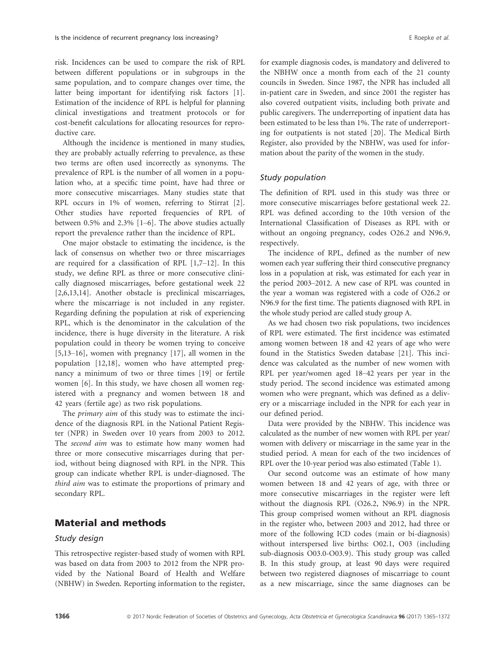risk. Incidences can be used to compare the risk of RPL between different populations or in subgroups in the same population, and to compare changes over time, the latter being important for identifying risk factors [1]. Estimation of the incidence of RPL is helpful for planning clinical investigations and treatment protocols or for cost-benefit calculations for allocating resources for reproductive care.

Although the incidence is mentioned in many studies, they are probably actually referring to prevalence, as these two terms are often used incorrectly as synonyms. The prevalence of RPL is the number of all women in a population who, at a specific time point, have had three or more consecutive miscarriages. Many studies state that RPL occurs in 1% of women, referring to Stirrat [2]. Other studies have reported frequencies of RPL of between 0.5% and 2.3% [1–6]. The above studies actually report the prevalence rather than the incidence of RPL.

One major obstacle to estimating the incidence, is the lack of consensus on whether two or three miscarriages are required for a classification of RPL [1,7–12]. In this study, we define RPL as three or more consecutive clinically diagnosed miscarriages, before gestational week 22 [2,6,13,14]. Another obstacle is preclinical miscarriages, where the miscarriage is not included in any register. Regarding defining the population at risk of experiencing RPL, which is the denominator in the calculation of the incidence, there is huge diversity in the literature. A risk population could in theory be women trying to conceive [5,13–16], women with pregnancy [17], all women in the population [12,18], women who have attempted pregnancy a minimum of two or three times [19] or fertile women [6]. In this study, we have chosen all women registered with a pregnancy and women between 18 and 42 years (fertile age) as two risk populations.

The *primary aim* of this study was to estimate the incidence of the diagnosis RPL in the National Patient Register (NPR) in Sweden over 10 years from 2003 to 2012. The second aim was to estimate how many women had three or more consecutive miscarriages during that period, without being diagnosed with RPL in the NPR. This group can indicate whether RPL is under-diagnosed. The third aim was to estimate the proportions of primary and secondary RPL.

# Material and methods

### Study design

This retrospective register-based study of women with RPL was based on data from 2003 to 2012 from the NPR provided by the National Board of Health and Welfare (NBHW) in Sweden. Reporting information to the register, for example diagnosis codes, is mandatory and delivered to the NBHW once a month from each of the 21 county councils in Sweden. Since 1987, the NPR has included all in-patient care in Sweden, and since 2001 the register has also covered outpatient visits, including both private and public caregivers. The underreporting of inpatient data has been estimated to be less than 1%. The rate of underreporting for outpatients is not stated [20]. The Medical Birth Register, also provided by the NBHW, was used for information about the parity of the women in the study.

#### Study population

The definition of RPL used in this study was three or more consecutive miscarriages before gestational week 22. RPL was defined according to the 10th version of the International Classification of Diseases as RPL with or without an ongoing pregnancy, codes O26.2 and N96.9, respectively.

The incidence of RPL, defined as the number of new women each year suffering their third consecutive pregnancy loss in a population at risk, was estimated for each year in the period 2003–2012. A new case of RPL was counted in the year a woman was registered with a code of O26.2 or N96.9 for the first time. The patients diagnosed with RPL in the whole study period are called study group A.

As we had chosen two risk populations, two incidences of RPL were estimated. The first incidence was estimated among women between 18 and 42 years of age who were found in the Statistics Sweden database [21]. This incidence was calculated as the number of new women with RPL per year/women aged 18–42 years per year in the study period. The second incidence was estimated among women who were pregnant, which was defined as a delivery or a miscarriage included in the NPR for each year in our defined period.

Data were provided by the NBHW. This incidence was calculated as the number of new women with RPL per year/ women with delivery or miscarriage in the same year in the studied period. A mean for each of the two incidences of RPL over the 10-year period was also estimated (Table 1).

Our second outcome was an estimate of how many women between 18 and 42 years of age, with three or more consecutive miscarriages in the register were left without the diagnosis RPL (O26.2, N96.9) in the NPR. This group comprised women without an RPL diagnosis in the register who, between 2003 and 2012, had three or more of the following ICD codes (main or bi-diagnosis) without interspersed live births: O02.1, O03 (including sub-diagnosis O03.0-O03.9). This study group was called B. In this study group, at least 90 days were required between two registered diagnoses of miscarriage to count as a new miscarriage, since the same diagnoses can be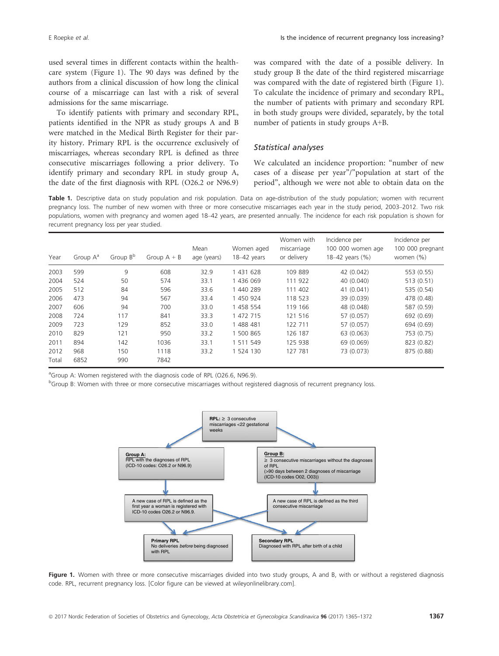used several times in different contacts within the healthcare system (Figure 1). The 90 days was defined by the authors from a clinical discussion of how long the clinical course of a miscarriage can last with a risk of several admissions for the same miscarriage.

To identify patients with primary and secondary RPL, patients identified in the NPR as study groups A and B were matched in the Medical Birth Register for their parity history. Primary RPL is the occurrence exclusively of miscarriages, whereas secondary RPL is defined as three consecutive miscarriages following a prior delivery. To identify primary and secondary RPL in study group A, the date of the first diagnosis with RPL (O26.2 or N96.9)

was compared with the date of a possible delivery. In study group B the date of the third registered miscarriage was compared with the date of registered birth (Figure 1). To calculate the incidence of primary and secondary RPL, the number of patients with primary and secondary RPL in both study groups were divided, separately, by the total number of patients in study groups A+B.

### Statistical analyses

We calculated an incidence proportion: "number of new cases of a disease per year"/"population at start of the period", although we were not able to obtain data on the

Table 1. Descriptive data on study population and risk population. Data on age-distribution of the study population; women with recurrent pregnancy loss. The number of new women with three or more consecutive miscarriages each year in the study period, 2003–2012. Two risk populations, women with pregnancy and women aged 18–42 years, are presented annually. The incidence for each risk population is shown for recurrent pregnancy loss per year studied.

| Year  | Group $A^a$ | Group B <sup>b</sup> | Group $A + B$ | Mean<br>age (years) | Women aged<br>18-42 years | Women with<br>miscarriage<br>or delivery | Incidence per<br>100 000 women age<br>18-42 years (%) | Incidence per<br>100 000 pregnant<br>women $(% )$ |
|-------|-------------|----------------------|---------------|---------------------|---------------------------|------------------------------------------|-------------------------------------------------------|---------------------------------------------------|
| 2003  | 599         | 9                    | 608           | 32.9                | 1 431 628                 | 109 889                                  | 42 (0.042)                                            | 553 (0.55)                                        |
| 2004  | 524         | 50                   | 574           | 33.1                | 1 436 069                 | 111 922                                  | 40 (0.040)                                            | 513 (0.51)                                        |
| 2005  | 512         | 84                   | 596           | 33.6                | 1 440 289                 | 111 402                                  | 41 (0.041)                                            | 535 (0.54)                                        |
| 2006  | 473         | 94                   | 567           | 33.4                | 1 450 924                 | 118 523                                  | 39 (0.039)                                            | 478 (0.48)                                        |
| 2007  | 606         | 94                   | 700           | 33.0                | 1 458 554                 | 119 166                                  | 48 (0.048)                                            | 587 (0.59)                                        |
| 2008  | 724         | 117                  | 841           | 33.3                | 1 472 715                 | 121 516                                  | 57 (0.057)                                            | 692 (0.69)                                        |
| 2009  | 723         | 129                  | 852           | 33.0                | 1 488 481                 | 122 711                                  | 57 (0.057)                                            | 694 (0.69)                                        |
| 2010  | 829         | 121                  | 950           | 33.2                | 1 500 865                 | 126 187                                  | 63 (0.063)                                            | 753 (0.75)                                        |
| 2011  | 894         | 142                  | 1036          | 33.1                | 1 511 549                 | 125 938                                  | 69 (0.069)                                            | 823 (0.82)                                        |
| 2012  | 968         | 150                  | 1118          | 33.2                | 1 524 130                 | 127 781                                  | 73 (0.073)                                            | 875 (0.88)                                        |
| Total | 6852        | 990                  | 7842          |                     |                           |                                          |                                                       |                                                   |

<sup>a</sup>Group A: Women registered with the diagnosis code of RPL (O26.6, N96.9).

<sup>b</sup>Group B: Women with three or more consecutive miscarriages without registered diagnosis of recurrent pregnancy loss.



Figure 1. Women with three or more consecutive miscarriages divided into two study groups, A and B, with or without a registered diagnosis code. RPL, recurrent pregnancy loss. [Color figure can be viewed at wileyonlinelibrary.com].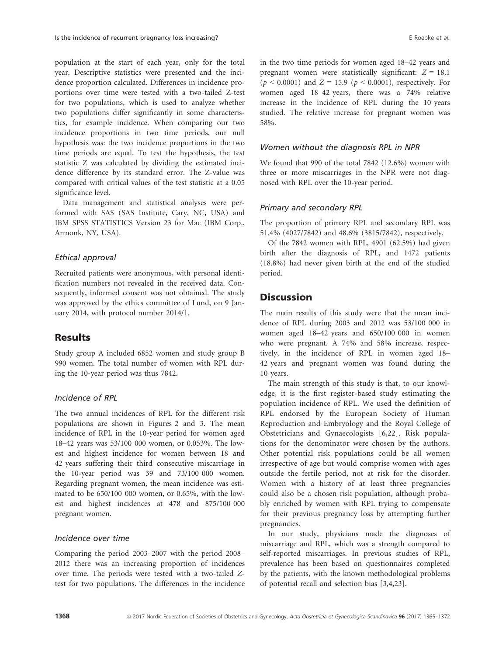population at the start of each year, only for the total year. Descriptive statistics were presented and the incidence proportion calculated. Differences in incidence proportions over time were tested with a two-tailed Z-test for two populations, which is used to analyze whether two populations differ significantly in some characteristics, for example incidence. When comparing our two incidence proportions in two time periods, our null hypothesis was: the two incidence proportions in the two time periods are equal. To test the hypothesis, the test statistic Z was calculated by dividing the estimated incidence difference by its standard error. The Z-value was compared with critical values of the test statistic at a 0.05 significance level.

Data management and statistical analyses were performed with SAS (SAS Institute, Cary, NC, USA) and IBM SPSS STATISTICS Version 23 for Mac (IBM Corp., Armonk, NY, USA).

#### Ethical approval

Recruited patients were anonymous, with personal identification numbers not revealed in the received data. Consequently, informed consent was not obtained. The study was approved by the ethics committee of Lund, on 9 January 2014, with protocol number 2014/1.

## **Results**

Study group A included 6852 women and study group B 990 women. The total number of women with RPL during the 10-year period was thus 7842.

#### Incidence of RPL

The two annual incidences of RPL for the different risk populations are shown in Figures 2 and 3. The mean incidence of RPL in the 10-year period for women aged 18–42 years was 53/100 000 women, or 0.053%. The lowest and highest incidence for women between 18 and 42 years suffering their third consecutive miscarriage in the 10-year period was 39 and 73/100 000 women. Regarding pregnant women, the mean incidence was estimated to be 650/100 000 women, or 0.65%, with the lowest and highest incidences at 478 and 875/100 000 pregnant women.

### Incidence over time

Comparing the period 2003–2007 with the period 2008– 2012 there was an increasing proportion of incidences over time. The periods were tested with a two-tailed Ztest for two populations. The differences in the incidence in the two time periods for women aged 18–42 years and pregnant women were statistically significant:  $Z = 18.1$  $(p < 0.0001)$  and  $Z = 15.9$   $(p < 0.0001)$ , respectively. For women aged 18–42 years, there was a 74% relative increase in the incidence of RPL during the 10 years studied. The relative increase for pregnant women was 58%.

### Women without the diagnosis RPL in NPR

We found that 990 of the total 7842 (12.6%) women with three or more miscarriages in the NPR were not diagnosed with RPL over the 10-year period.

### Primary and secondary RPL

The proportion of primary RPL and secondary RPL was 51.4% (4027/7842) and 48.6% (3815/7842), respectively.

Of the 7842 women with RPL, 4901 (62.5%) had given birth after the diagnosis of RPL, and 1472 patients (18.8%) had never given birth at the end of the studied period.

# **Discussion**

The main results of this study were that the mean incidence of RPL during 2003 and 2012 was 53/100 000 in women aged 18–42 years and 650/100 000 in women who were pregnant. A 74% and 58% increase, respectively, in the incidence of RPL in women aged 18– 42 years and pregnant women was found during the 10 years.

The main strength of this study is that, to our knowledge, it is the first register-based study estimating the population incidence of RPL. We used the definition of RPL endorsed by the European Society of Human Reproduction and Embryology and the Royal College of Obstetricians and Gynaecologists [6,22]. Risk populations for the denominator were chosen by the authors. Other potential risk populations could be all women irrespective of age but would comprise women with ages outside the fertile period, not at risk for the disorder. Women with a history of at least three pregnancies could also be a chosen risk population, although probably enriched by women with RPL trying to compensate for their previous pregnancy loss by attempting further pregnancies.

In our study, physicians made the diagnoses of miscarriage and RPL, which was a strength compared to self-reported miscarriages. In previous studies of RPL, prevalence has been based on questionnaires completed by the patients, with the known methodological problems of potential recall and selection bias [3,4,23].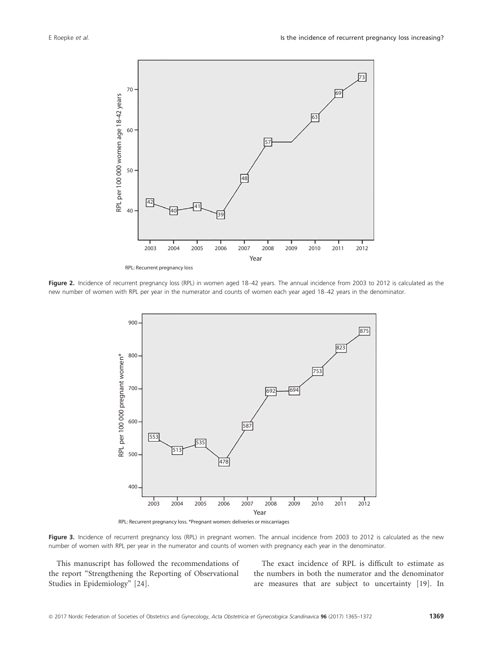

Figure 2. Incidence of recurrent pregnancy loss (RPL) in women aged 18-42 years. The annual incidence from 2003 to 2012 is calculated as the new number of women with RPL per year in the numerator and counts of women each year aged 18–42 years in the denominator.



Figure 3. Incidence of recurrent pregnancy loss (RPL) in pregnant women. The annual incidence from 2003 to 2012 is calculated as the new number of women with RPL per year in the numerator and counts of women with pregnancy each year in the denominator.

This manuscript has followed the recommendations of the report "Strengthening the Reporting of Observational Studies in Epidemiology" [24].

The exact incidence of RPL is difficult to estimate as the numbers in both the numerator and the denominator are measures that are subject to uncertainty [19]. In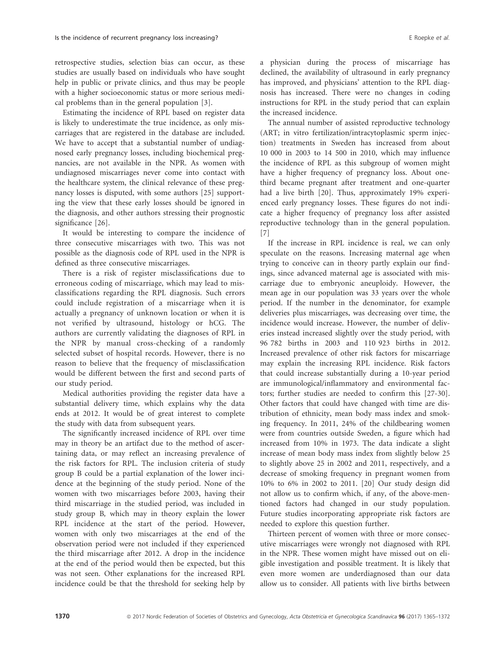retrospective studies, selection bias can occur, as these studies are usually based on individuals who have sought help in public or private clinics, and thus may be people with a higher socioeconomic status or more serious medical problems than in the general population [3].

Estimating the incidence of RPL based on register data is likely to underestimate the true incidence, as only miscarriages that are registered in the database are included. We have to accept that a substantial number of undiagnosed early pregnancy losses, including biochemical pregnancies, are not available in the NPR. As women with undiagnosed miscarriages never come into contact with the healthcare system, the clinical relevance of these pregnancy losses is disputed, with some authors [25] supporting the view that these early losses should be ignored in the diagnosis, and other authors stressing their prognostic significance [26].

It would be interesting to compare the incidence of three consecutive miscarriages with two. This was not possible as the diagnosis code of RPL used in the NPR is defined as three consecutive miscarriages.

There is a risk of register misclassifications due to erroneous coding of miscarriage, which may lead to misclassifications regarding the RPL diagnosis. Such errors could include registration of a miscarriage when it is actually a pregnancy of unknown location or when it is not verified by ultrasound, histology or hCG. The authors are currently validating the diagnoses of RPL in the NPR by manual cross-checking of a randomly selected subset of hospital records. However, there is no reason to believe that the frequency of misclassification would be different between the first and second parts of our study period.

Medical authorities providing the register data have a substantial delivery time, which explains why the data ends at 2012. It would be of great interest to complete the study with data from subsequent years.

The significantly increased incidence of RPL over time may in theory be an artifact due to the method of ascertaining data, or may reflect an increasing prevalence of the risk factors for RPL. The inclusion criteria of study group B could be a partial explanation of the lower incidence at the beginning of the study period. None of the women with two miscarriages before 2003, having their third miscarriage in the studied period, was included in study group B, which may in theory explain the lower RPL incidence at the start of the period. However, women with only two miscarriages at the end of the observation period were not included if they experienced the third miscarriage after 2012. A drop in the incidence at the end of the period would then be expected, but this was not seen. Other explanations for the increased RPL incidence could be that the threshold for seeking help by

The annual number of assisted reproductive technology (ART; in vitro fertilization/intracytoplasmic sperm injection) treatments in Sweden has increased from about 10 000 in 2003 to 14 500 in 2010, which may influence the incidence of RPL as this subgroup of women might have a higher frequency of pregnancy loss. About onethird became pregnant after treatment and one-quarter had a live birth [20]. Thus, approximately 19% experienced early pregnancy losses. These figures do not indicate a higher frequency of pregnancy loss after assisted reproductive technology than in the general population. [7]

If the increase in RPL incidence is real, we can only speculate on the reasons. Increasing maternal age when trying to conceive can in theory partly explain our findings, since advanced maternal age is associated with miscarriage due to embryonic aneuploidy. However, the mean age in our population was 33 years over the whole period. If the number in the denominator, for example deliveries plus miscarriages, was decreasing over time, the incidence would increase. However, the number of deliveries instead increased slightly over the study period, with 96 782 births in 2003 and 110 923 births in 2012. Increased prevalence of other risk factors for miscarriage may explain the increasing RPL incidence. Risk factors that could increase substantially during a 10-year period are immunological/inflammatory and environmental factors; further studies are needed to confirm this [27-30]. Other factors that could have changed with time are distribution of ethnicity, mean body mass index and smoking frequency. In 2011, 24% of the childbearing women were from countries outside Sweden, a figure which had increased from 10% in 1973. The data indicate a slight increase of mean body mass index from slightly below 25 to slightly above 25 in 2002 and 2011, respectively, and a decrease of smoking frequency in pregnant women from 10% to 6% in 2002 to 2011. [20] Our study design did not allow us to confirm which, if any, of the above-mentioned factors had changed in our study population. Future studies incorporating appropriate risk factors are needed to explore this question further.

Thirteen percent of women with three or more consecutive miscarriages were wrongly not diagnosed with RPL in the NPR. These women might have missed out on eligible investigation and possible treatment. It is likely that even more women are underdiagnosed than our data allow us to consider. All patients with live births between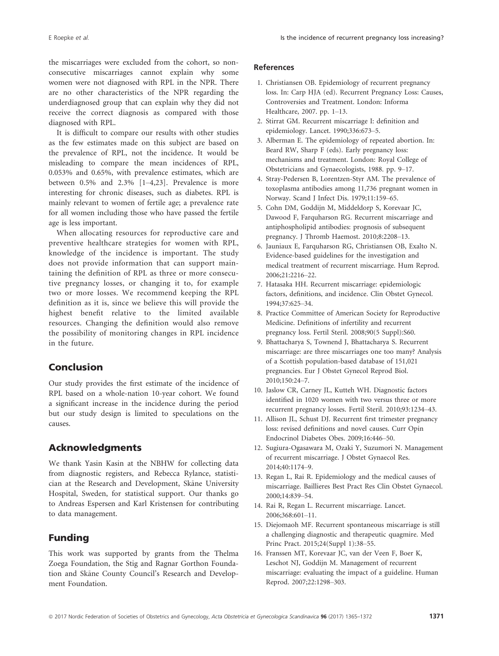the miscarriages were excluded from the cohort, so nonconsecutive miscarriages cannot explain why some women were not diagnosed with RPL in the NPR. There are no other characteristics of the NPR regarding the underdiagnosed group that can explain why they did not receive the correct diagnosis as compared with those diagnosed with RPL.

It is difficult to compare our results with other studies as the few estimates made on this subject are based on the prevalence of RPL, not the incidence. It would be misleading to compare the mean incidences of RPL, 0.053% and 0.65%, with prevalence estimates, which are between 0.5% and 2.3% [1–4,23]. Prevalence is more interesting for chronic diseases, such as diabetes. RPL is mainly relevant to women of fertile age; a prevalence rate for all women including those who have passed the fertile age is less important.

When allocating resources for reproductive care and preventive healthcare strategies for women with RPL, knowledge of the incidence is important. The study does not provide information that can support maintaining the definition of RPL as three or more consecutive pregnancy losses, or changing it to, for example two or more losses. We recommend keeping the RPL definition as it is, since we believe this will provide the highest benefit relative to the limited available resources. Changing the definition would also remove the possibility of monitoring changes in RPL incidence in the future.

## Conclusion

Our study provides the first estimate of the incidence of RPL based on a whole-nation 10-year cohort. We found a significant increase in the incidence during the period but our study design is limited to speculations on the causes.

## Acknowledgments

We thank Yasin Kasin at the NBHW for collecting data from diagnostic registers, and Rebecca Rylance, statistician at the Research and Development, Skane University Hospital, Sweden, for statistical support. Our thanks go to Andreas Espersen and Karl Kristensen for contributing to data management.

### Funding

This work was supported by grants from the Thelma Zoega Foundation, the Stig and Ragnar Gorthon Foundation and Skane County Council's Research and Development Foundation.

#### References

- 1. Christiansen OB. Epidemiology of recurrent pregnancy loss. In: Carp HJA (ed). Recurrent Pregnancy Loss: Causes, Controversies and Treatment. London: Informa Healthcare, 2007. pp. 1–13.
- 2. Stirrat GM. Recurrent miscarriage I: definition and epidemiology. Lancet. 1990;336:673–5.
- 3. Alberman E. The epidemiology of repeated abortion. In: Beard RW, Sharp F (eds). Early pregnancy loss: mechanisms and treatment. London: Royal College of Obstetricians and Gynaecologists, 1988. pp. 9–17.
- 4. Stray-Pedersen B, Lorentzen-Styr AM. The prevalence of toxoplasma antibodies among 11,736 pregnant women in Norway. Scand J Infect Dis. 1979;11:159–65.
- 5. Cohn DM, Goddijn M, Middeldorp S, Korevaar JC, Dawood F, Farquharson RG. Recurrent miscarriage and antiphospholipid antibodies: prognosis of subsequent pregnancy. J Thromb Haemost. 2010;8:2208–13.
- 6. Jauniaux E, Farquharson RG, Christiansen OB, Exalto N. Evidence-based guidelines for the investigation and medical treatment of recurrent miscarriage. Hum Reprod. 2006;21:2216–22.
- 7. Hatasaka HH. Recurrent miscarriage: epidemiologic factors, definitions, and incidence. Clin Obstet Gynecol. 1994;37:625–34.
- 8. Practice Committee of American Society for Reproductive Medicine. Definitions of infertility and recurrent pregnancy loss. Fertil Steril. 2008;90(5 Suppl):S60.
- 9. Bhattacharya S, Townend J, Bhattacharya S. Recurrent miscarriage: are three miscarriages one too many? Analysis of a Scottish population-based database of 151,021 pregnancies. Eur J Obstet Gynecol Reprod Biol. 2010;150:24–7.
- 10. Jaslow CR, Carney JL, Kutteh WH. Diagnostic factors identified in 1020 women with two versus three or more recurrent pregnancy losses. Fertil Steril. 2010;93:1234–43.
- 11. Allison JL, Schust DJ. Recurrent first trimester pregnancy loss: revised definitions and novel causes. Curr Opin Endocrinol Diabetes Obes. 2009;16:446–50.
- 12. Sugiura-Ogasawara M, Ozaki Y, Suzumori N. Management of recurrent miscarriage. J Obstet Gynaecol Res. 2014;40:1174–9.
- 13. Regan L, Rai R. Epidemiology and the medical causes of miscarriage. Baillieres Best Pract Res Clin Obstet Gynaecol. 2000;14:839–54.
- 14. Rai R, Regan L. Recurrent miscarriage. Lancet. 2006;368:601–11.
- 15. Diejomaoh MF. Recurrent spontaneous miscarriage is still a challenging diagnostic and therapeutic quagmire. Med Princ Pract. 2015;24(Suppl 1):38–55.
- 16. Franssen MT, Korevaar JC, van der Veen F, Boer K, Leschot NJ, Goddijn M. Management of recurrent miscarriage: evaluating the impact of a guideline. Human Reprod. 2007;22:1298–303.